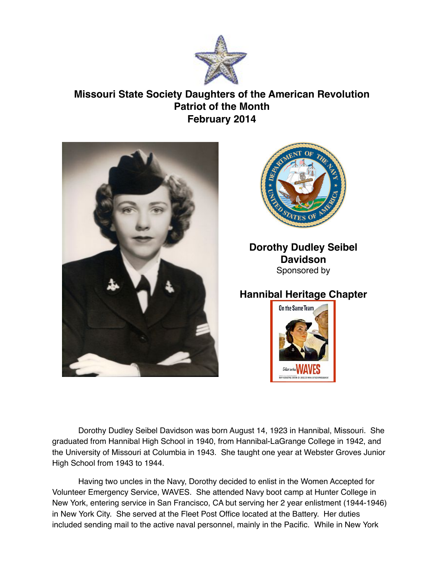

## **Missouri State Society Daughters of the American Revolution Patriot of the Month February 2014**





## **Dorothy Dudley Seibel Davidson** Sponsored by

## **Hannibal Heritage Chapter**



Dorothy Dudley Seibel Davidson was born August 14, 1923 in Hannibal, Missouri. She graduated from Hannibal High School in 1940, from Hannibal-LaGrange College in 1942, and the University of Missouri at Columbia in 1943. She taught one year at Webster Groves Junior High School from 1943 to 1944.

Having two uncles in the Navy, Dorothy decided to enlist in the Women Accepted for Volunteer Emergency Service, WAVES. She attended Navy boot camp at Hunter College in New York, entering service in San Francisco, CA but serving her 2 year enlistment (1944-1946) in New York City. She served at the Fleet Post Office located at the Battery. Her duties included sending mail to the active naval personnel, mainly in the Pacific. While in New York